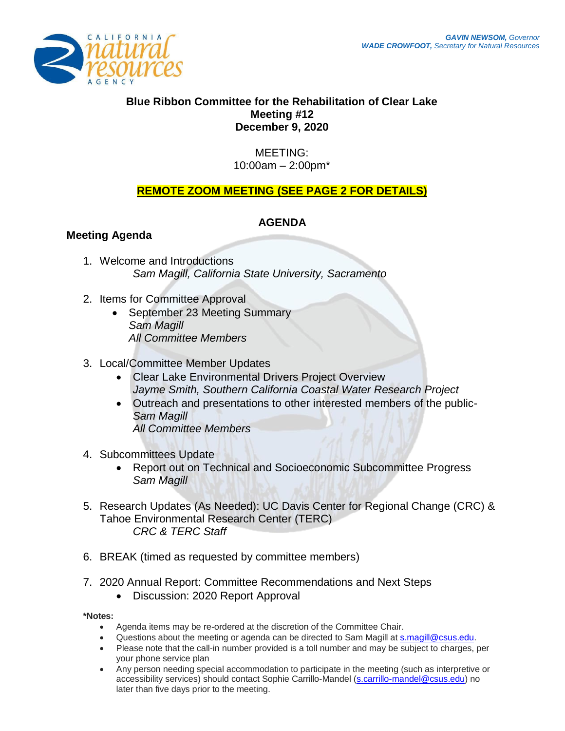

## **Blue Ribbon Committee for the Rehabilitation of Clear Lake Meeting #12 December 9, 2020**

### MEETING: 10:00am – 2:00pm\*

# **REMOTE ZOOM MEETING (SEE PAGE 2 FOR DETAILS)**

## **AGENDA**

## **Meeting Agenda**

- 1. Welcome and Introductions *Sam Magill, California State University, Sacramento*
- 2. Items for Committee Approval
	- September 23 Meeting Summary *Sam Magill All Committee Members*
- 3. Local/Committee Member Updates
	- Clear Lake Environmental Drivers Project Overview *Jayme Smith, Southern California Coastal Water Research Project*
	- Outreach and presentations to other interested members of the public-*Sam Magill All Committee Members*
- 4. Subcommittees Update
	- Report out on Technical and Socioeconomic Subcommittee Progress *Sam Magill*
- 5. Research Updates (As Needed): UC Davis Center for Regional Change (CRC) & Tahoe Environmental Research Center (TERC) *CRC & TERC Staff*
- 6. BREAK (timed as requested by committee members)
- 7. 2020 Annual Report: Committee Recommendations and Next Steps
	- Discussion: 2020 Report Approval

**\*Notes:** 

- Agenda items may be re-ordered at the discretion of the Committee Chair.
- Ouestions about the meeting or agenda can be directed to Sam Magill at [s.magill@csus.edu.](mailto:s.magill@csus.edu)
- Please note that the call-in number provided is a toll number and may be subject to charges, per your phone service plan
- Any person needing special accommodation to participate in the meeting (such as interpretive or accessibility services) should contact Sophie Carrillo-Mandel [\(s.carrillo-mandel@csus.edu\)](mailto:s.carrillo-mandel@csus.edu) no later than five days prior to the meeting.